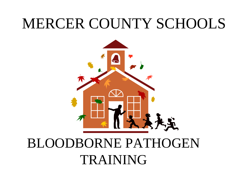#### MERCER COUNTY SCHOOLS



#### BLOODBORNE PATHOGEN TRAINING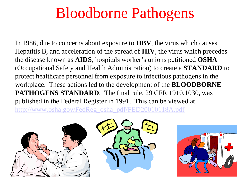#### Bloodborne Pathogens

In 1986, due to concerns about exposure to **HBV**, the virus which causes Hepatitis B, and acceleration of the spread of **HIV**, the virus which precedes the disease known as **AIDS**, hospitals worker's unions petitioned **OSHA** (Occupational Safety and Health Administration) to create a **STANDARD** to protect healthcare personnel from exposure to infectious pathogens in the workplace. These actions led to the development of the **BLOODBORNE PATHOGENS STANDARD**. The final rule, 29 CFR 1910.1030, was published in the Federal Register in 1991. This can be viewed at [http://www.osha.gov/FedReg\\_osha\\_pdf/FED20010118A.pdf](http://www.osha.gov/FedReg_osha_pdf/FED20010118A.pdf)



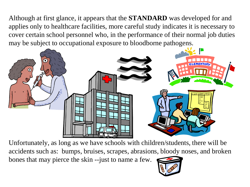Although at first glance, it appears that the **STANDARD** was developed for and applies only to healthcare facilities, more careful study indicates it is necessary to cover certain school personnel who, in the performance of their normal job duties may be subject to occupational exposure to bloodborne pathogens.



Unfortunately, as long as we have schools with children/students, there will be accidents such as: bumps, bruises, scrapes, abrasions, bloody noses, and broken bones that may pierce the skin --just to name a few.

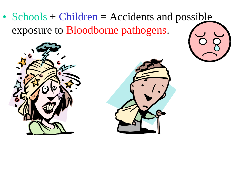• Schools + Children = Accidents and possible exposure to Bloodborne pathogens.



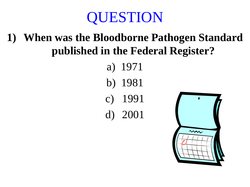

#### **1) When was the Bloodborne Pathogen Standard published in the Federal Register?**

a) 1971 b) 1981 c) 1991 d) 2001

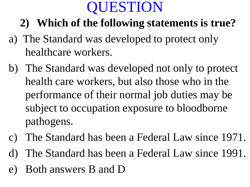#### **2) Which of the following statements is true?**

- a) The Standard was developed to protect only healthcare workers.
- b) The Standard was developed not only to protect health care workers, but also those who in the performance of their normal job duties may be subject to occupation exposure to bloodborne pathogens.
- c) The Standard has been a Federal Law since 1971.
- d) The Standard has been a Federal Law since 1991.
- e) Both answers B and D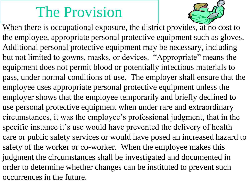#### The Provision



When there is occupational exposure, the district provides, at no cost to the employee, appropriate personal protective equipment such as gloves. Additional personal protective equipment may be necessary, including but not limited to gowns, masks, or devices. "Appropriate" means the equipment does not permit blood or potentially infectious materials to pass, under normal conditions of use. The employer shall ensure that the employee uses appropriate personal protective equipment unless the employer shows that the employee temporarily and briefly declined to use personal protective equipment when under rare and extraordinary circumstances, it was the employee's professional judgment, that in the specific instance it's use would have prevented the delivery of health care or public safety services or would have posed an increased hazard to safety of the worker or co-worker. When the employee makes this judgment the circumstances shall be investigated and documented in order to determine whether changes can be instituted to prevent such occurrences in the future.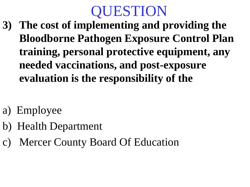**3) The cost of implementing and providing the Bloodborne Pathogen Exposure Control Plan training, personal protective equipment, any needed vaccinations, and post-exposure evaluation is the responsibility of the** 

- a) Employee
- b) Health Department
- c) Mercer County Board Of Education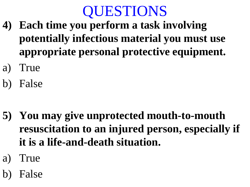- **4) Each time you perform a task involving potentially infectious material you must use appropriate personal protective equipment.**
- a) True
- b) False
- **5) You may give unprotected mouth-to-mouth resuscitation to an injured person, especially if it is a life-and-death situation.**
- a) True
- b) False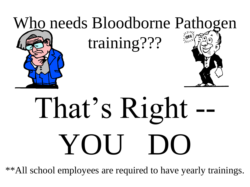# Who needs Bloodborne Pathogen training???

# That's Right YOU DO

\*\*All school employees are required to have yearly trainings.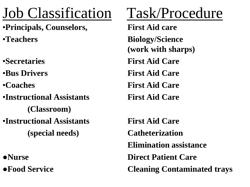# Job Classification Task/Procedure

•**Principals, Counselors, First Aid care**

•**Instructional Assistants First Aid Care (Classroom)** •**Instructional Assistants First Aid Care (special needs) Catheterization**

•**Teachers Biology/Science** 

**(work with sharps)**

•**Secretaries First Aid Care**

•**Bus Drivers First Aid Care**

•**Coaches First Aid Care**

**Elimination assistance ●Nurse Direct Patient Care ●Food Service Cleaning Contaminated trays**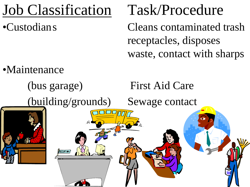# Job Classification Task/Procedure

•Custodians Cleans contaminated trash receptacles, disposes waste, contact with sharps

#### •Maintenance

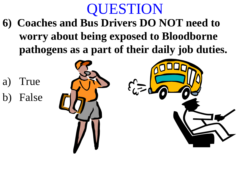**6) Coaches and Bus Drivers DO NOT need to worry about being exposed to Bloodborne pathogens as a part of their daily job duties.**

- a) True
- b) False

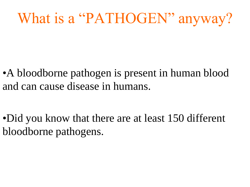# What is a "PATHOGEN" anyway?

• A bloodborne pathogen is present in human blood and can cause disease in humans.

•Did you know that there are at least 150 different bloodborne pathogens.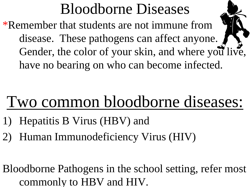#### Bloodborne Diseases

\*Remember that students are not immune from disease. These pathogens can affect anyone. Gender, the color of your skin, and where you live, have no bearing on who can become infected.

# Two common bloodborne diseases:

- 1) Hepatitis B Virus (HBV) and
- 2) Human Immunodeficiency Virus (HIV)

Bloodborne Pathogens in the school setting, refer most commonly to HBV and HIV.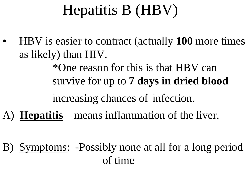#### Hepatitis B (HBV)

• HBV is easier to contract (actually **100** more times as likely) than HIV.

> \*One reason for this is that HBV can survive for up to **7 days in dried blood**

increasing chances of infection.

A) **Hepatitis** – means inflammation of the liver.

B) Symptoms: -Possibly none at all for a long period of time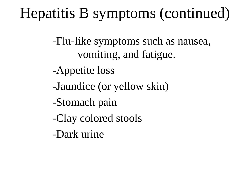#### Hepatitis B symptoms (continued)

-Flu-like symptoms such as nausea, vomiting, and fatigue.

-Appetite loss

- -Jaundice (or yellow skin)
- -Stomach pain
- -Clay colored stools
- -Dark urine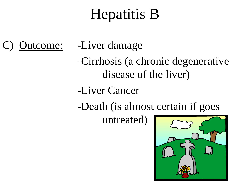#### Hepatitis B

- Outcome: -Liver damage
	- -Cirrhosis (a chronic degenerative disease of the liver)
	- -Liver Cancer
	- -Death (is almost certain if goes

untreated)

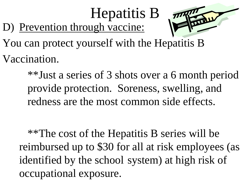#### Hepatitis B D) Prevention through vaccine:



You can protect yourself with the Hepatitis B Vaccination.

> \*\*Just a series of 3 shots over a 6 month period provide protection. Soreness, swelling, and redness are the most common side effects.

\*\*The cost of the Hepatitis B series will be reimbursed up to \$30 for all at risk employees (as identified by the school system) at high risk of occupational exposure.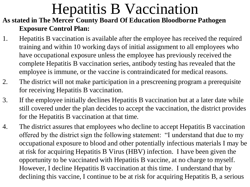### Hepatitis B Vaccination

#### **As stated in The Mercer County Board Of Education Bloodborne Pathogen Exposure Control Plan:**

- 1. Hepatitis B vaccination is available after the employee has received the required training and within 10 working days of initial assignment to all employees who have occupational exposure unless the employee has previously received the complete Hepatitis B vaccination series, antibody testing has revealed that the employee is immune, or the vaccine is contraindicated for medical reasons.
- 2. The district will not make participation in a prescreening program a prerequisite for receiving Hepatitis B vaccination.
- 3. If the employee initially declines Hepatitis B vaccination but at a later date while still covered under the plan decides to accept the vaccination, the district provides for the Hepatitis B vaccination at that time.
- 4. The district assures that employees who decline to accept Hepatitis B vaccination offered by the district sign the following statement: "I understand that due to my occupational exposure to blood and other potentially infectious materials I may be at risk for acquiring Hepatitis B Virus (HBV) infection. I have been given the opportunity to be vaccinated with Hepatitis B vaccine, at no charge to myself. However, I decline Hepatitis B vaccination at this time. I understand that by declining this vaccine, I continue to be at risk for acquiring Hepatitis B, a serious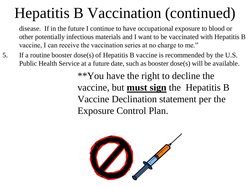# Hepatitis B Vaccination (continued)

disease. If in the future I continue to have occupational exposure to blood or other potentially infectious materials and I want to be vaccinated with Hepatitis B vaccine, I can receive the vaccination series at no charge to me."

5. If a routine booster dose(s) of Hepatitis B vaccine is recommended by the U.S. Public Health Service at a future date, such as booster dose(s) will be available.

> \*\*You have the right to decline the vaccine, but **must sign** the Hepatitis B Vaccine Declination statement per the Exposure Control Plan.

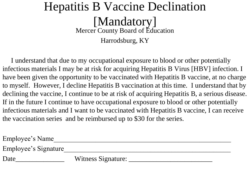#### Hepatitis B Vaccine Declination [Mandatory] Mercer County Board of Education Harrodsburg, KY

 I understand that due to my occupational exposure to blood or other potentially infectious materials I may be at risk for acquiring Hepatitis B Virus [HBV] infection. I have been given the opportunity to be vaccinated with Hepatitis B vaccine, at no charge to myself. However, I decline Hepatitis B vaccination at this time. I understand that by declining the vaccine, I continue to be at risk of acquiring Hepatitis B, a serious disease. If in the future I continue to have occupational exposure to blood or other potentially infectious materials and I want to be vaccinated with Hepatitis B vaccine, I can receive the vaccination series and be reimbursed up to \$30 for the series.

| Employee's Name      |                    |  |
|----------------------|--------------------|--|
| Employee's Signature |                    |  |
| Date                 | Witness Signature: |  |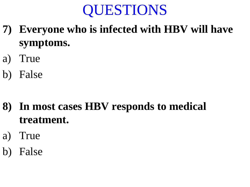- **7) Everyone who is infected with HBV will have symptoms.**
- a) True
- b) False

- **8) In most cases HBV responds to medical treatment.**
- a) True
- b) False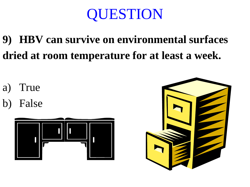**9) HBV can survive on environmental surfaces dried at room temperature for at least a week.** 

- a) True
- b) False



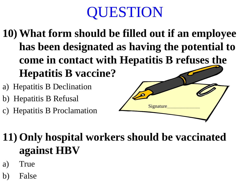- **10)What form should be filled out if an employee has been designated as having the potential to come in contact with Hepatitis B refuses the Hepatitis B vaccine?**
- a) Hepatitis B Declination
- b) Hepatitis B Refusal
- c) Hepatitis B Proclamation



- **11) Only hospital workers should be vaccinated against HBV**
- a) True
- b) False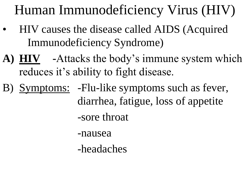#### Human Immunodeficiency Virus (HIV)

- HIV causes the disease called AIDS (Acquired Immunodeficiency Syndrome)
- **A) HIV -**Attacks the body's immune system which reduces it's ability to fight disease.
- B) Symptoms: -Flu-like symptoms such as fever, diarrhea, fatigue, loss of appetite -sore throat
	- -nausea
	- -headaches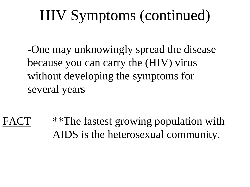#### HIV Symptoms (continued)

-One may unknowingly spread the disease because you can carry the (HIV) virus without developing the symptoms for several years

FACT \*\*The fastest growing population with AIDS is the heterosexual community.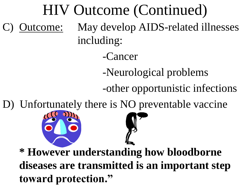#### HIV Outcome (Continued) Outcome: May develop AIDS-related illnesses including:

-Cancer

-Neurological problems

-other opportunistic infections

D) Unfortunately there is NO preventable vaccine

**\* However understanding how bloodborne diseases are transmitted is an important step toward protection."**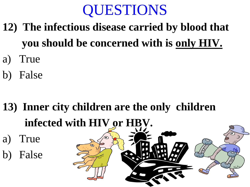- **12) The infectious disease carried by blood that you should be concerned with is only HIV.**
- a) True
- b) False

- **13) Inner city children are the only children infected with HIV or HBV.**
- a) True
- b) False

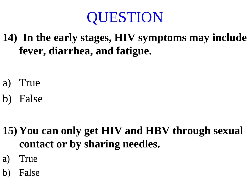

**14) In the early stages, HIV symptoms may include fever, diarrhea, and fatigue.**

- a) True
- b) False

- **15) You can only get HIV and HBV through sexual contact or by sharing needles.**
- a) True
- b) False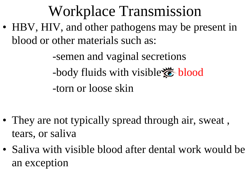# Workplace Transmission

• HBV, HIV, and other pathogens may be present in blood or other materials such as:

> -semen and vaginal secretions -body fluids with visible  $\otimes$  blood -torn or loose skin

- They are not typically spread through air, sweat, tears, or saliva
- Saliva with visible blood after dental work would be an exception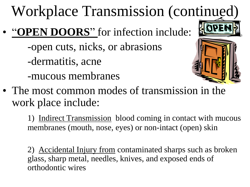# Workplace Transmission (continued)

• "**OPEN DOORS**" for infection include:

-open cuts, nicks, or abrasions

-dermatitis, acne

-mucous membranes



• The most common modes of transmission in the work place include:

> 1) Indirect Transmission blood coming in contact with mucous membranes (mouth, nose, eyes) or non-intact (open) skin

2) Accidental Injury from contaminated sharps such as broken glass, sharp metal, needles, knives, and exposed ends of orthodontic wires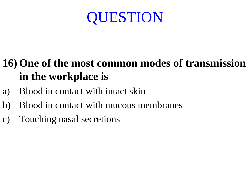

#### **16) One of the most common modes of transmission in the workplace is**

- a) Blood in contact with intact skin
- b) Blood in contact with mucous membranes
- c) Touching nasal secretions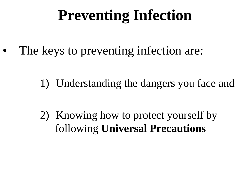#### **Preventing Infection**

The keys to preventing infection are:

1) Understanding the dangers you face and

2) Knowing how to protect yourself by following **Universal Precautions**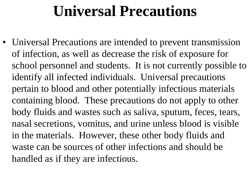#### **Universal Precautions**

• Universal Precautions are intended to prevent transmission of infection, as well as decrease the risk of exposure for school personnel and students. It is not currently possible to identify all infected individuals. Universal precautions pertain to blood and other potentially infectious materials containing blood. These precautions do not apply to other body fluids and wastes such as saliva, sputum, feces, tears, nasal secretions, vomitus, and urine unless blood is visible in the materials. However, these other body fluids and waste can be sources of other infections and should be handled as if they are infectious.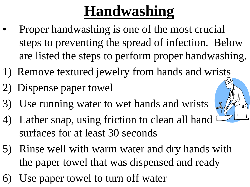# **Handwashing**

- Proper handwashing is one of the most crucial steps to preventing the spread of infection. Below are listed the steps to perform proper handwashing.
- 1) Remove textured jewelry from hands and wrists
- 2) Dispense paper towel
- 3) Use running water to wet hands and wrists
- 4) Lather soap, using friction to clean all hand surfaces for at least 30 seconds
- 5) Rinse well with warm water and dry hands with the paper towel that was dispensed and ready
- Use paper towel to turn off water

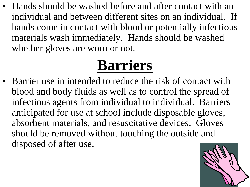• Hands should be washed before and after contact with an individual and between different sites on an individual. If hands come in contact with blood or potentially infectious materials wash immediately. Hands should be washed whether gloves are worn or not.

# **Barriers**

• Barrier use in intended to reduce the risk of contact with blood and body fluids as well as to control the spread of infectious agents from individual to individual. Barriers anticipated for use at school include disposable gloves, absorbent materials, and resuscitative devices. Gloves should be removed without touching the outside and disposed of after use.

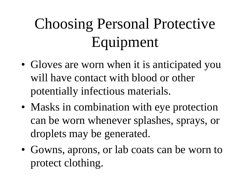# Choosing Personal Protective Equipment

- Gloves are worn when it is anticipated you will have contact with blood or other potentially infectious materials.
- Masks in combination with eye protection can be worn whenever splashes, sprays, or droplets may be generated.
- Gowns, aprons, or lab coats can be worn to protect clothing.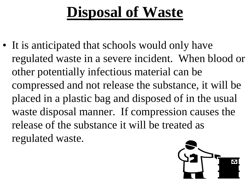#### **Disposal of Waste**

• It is anticipated that schools would only have regulated waste in a severe incident. When blood or other potentially infectious material can be compressed and not release the substance, it will be placed in a plastic bag and disposed of in the usual waste disposal manner. If compression causes the release of the substance it will be treated as regulated waste.

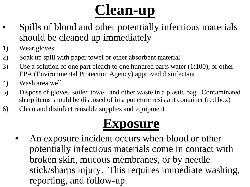# **Clean-up**

- Spills of blood and other potentially infectious materials should be cleaned up immediately
- 1) Wear gloves
- 2) Soak up spill with paper towel or other absorbent material
- 3) Use a solution of one part bleach to one hundred parts water (1:100), or other EPA (Environmental Protection Agency) approved disinfectant
- 4) Wash area well
- 5) Dispose of gloves, soiled towel, and other waste in a plastic bag. Contaminated sharp items should be disposed of in a puncture resistant container (red box)
- 6) Clean and disinfect reusable supplies and equipment

#### **Exposure**

An exposure incident occurs when blood or other potentially infectious materials come in contact with broken skin, mucous membranes, or by needle stick/sharps injury. This requires immediate washing, reporting, and follow-up.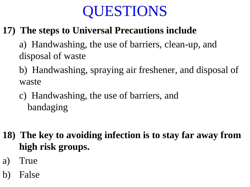#### **17) The steps to Universal Precautions include**

- a) Handwashing, the use of barriers, clean-up, and disposal of waste
- b) Handwashing, spraying air freshener, and disposal of waste
- c) Handwashing, the use of barriers, and bandaging
- **18) The key to avoiding infection is to stay far away from high risk groups.**
- a) True
- b) False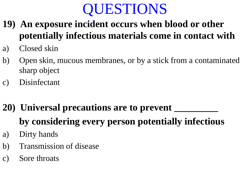- **19) An exposure incident occurs when blood or other potentially infectious materials come in contact with**
- a) Closed skin
- b) Open skin, mucous membranes, or by a stick from a contaminated sharp object
- c) Disinfectant

#### **20) Universal precautions are to prevent \_\_\_\_\_\_\_\_\_ by considering every person potentially infectious**

- a) Dirty hands
- b) Transmission of disease
- c) Sore throats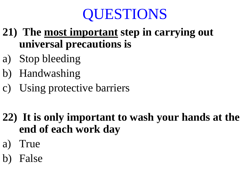- **21) The most important step in carrying out universal precautions is**
- a) Stop bleeding
- b) Handwashing
- c) Using protective barriers
- **22) It is only important to wash your hands at the end of each work day**
- a) True
- b) False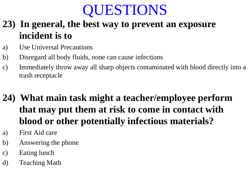- **23) In general, the best way to prevent an exposure incident is to**
- a) Use Universal Precautions
- b) Disregard all body fluids, none can cause infections
- c) Immediately throw away all sharp objects contaminated with blood directly into a trash receptacle
- **24) What main task might a teacher/employee perform that may put them at risk to come in contact with blood or other potentially infectious materials?**
- a) First Aid care
- b) Answering the phone
- c) Eating lunch
- d) Teaching Math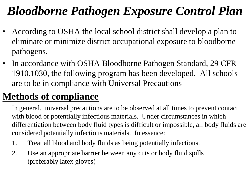#### *Bloodborne Pathogen Exposure Control Plan*

- According to OSHA the local school district shall develop a plan to eliminate or minimize district occupational exposure to bloodborne pathogens.
- In accordance with OSHA Bloodborne Pathogen Standard, 29 CFR 1910.1030, the following program has been developed. All schools are to be in compliance with Universal Precautions

#### **Methods of compliance**

In general, universal precautions are to be observed at all times to prevent contact with blood or potentially infectious materials. Under circumstances in which differentiation between body fluid types is difficult or impossible, all body fluids are considered potentially infectious materials. In essence:

- 1. Treat all blood and body fluids as being potentially infectious.
- 2. Use an appropriate barrier between any cuts or body fluid spills (preferably latex gloves)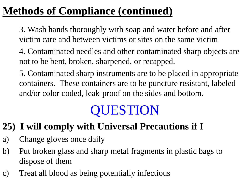#### **Methods of Compliance (continued)**

3. Wash hands thoroughly with soap and water before and after victim care and between victims or sites on the same victim

- 4. Contaminated needles and other contaminated sharp objects are not to be bent, broken, sharpened, or recapped.
- 5. Contaminated sharp instruments are to be placed in appropriate containers. These containers are to be puncture resistant, labeled and/or color coded, leak-proof on the sides and bottom.

#### QUESTION

#### **25) I will comply with Universal Precautions if I**

- a) Change gloves once daily
- b) Put broken glass and sharp metal fragments in plastic bags to dispose of them
- c) Treat all blood as being potentially infectious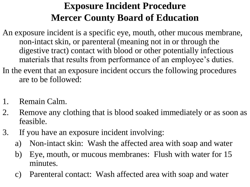#### **Exposure Incident Procedure Mercer County Board of Education**

- An exposure incident is a specific eye, mouth, other mucous membrane, non-intact skin, or parenteral (meaning not in or through the digestive tract) contact with blood or other potentially infectious materials that results from performance of an employee's duties.
- In the event that an exposure incident occurs the following procedures are to be followed:
- 1. Remain Calm.
- 2. Remove any clothing that is blood soaked immediately or as soon as feasible.
- 3. If you have an exposure incident involving:
	- a) Non-intact skin: Wash the affected area with soap and water
	- b) Eye, mouth, or mucous membranes: Flush with water for 15 minutes.
	- c) Parenteral contact: Wash affected area with soap and water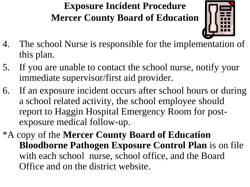#### **Exposure Incident Procedure Mercer County Board of Education**



- 4. The school Nurse is responsible for the implementation of this plan.
- 5. If you are unable to contact the school nurse, notify your immediate supervisor/first aid provider.
- 6. If an exposure incident occurs after school hours or during a school related activity, the school employee should report to Haggin Hospital Emergency Room for postexposure medical follow-up.
- \*A copy of the **Mercer County Board of Education Bloodborne Pathogen Exposure Control Plan** is on file with each school nurse, school office, and the Board Office and on the district website.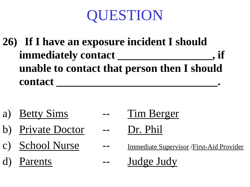**26) If I have an exposure incident I should immediately contact \_\_\_\_\_\_\_\_\_\_\_\_\_\_\_\_\_, if unable to contact that person then I should contact \_\_\_\_\_\_\_\_\_\_\_\_\_\_\_\_\_\_\_\_\_\_\_\_\_\_\_\_\_.**

- a) <u>Betty Sims</u> -- Tim Berger
- b) Private Doctor -- Dr. Phil
- 
- d) Parents -- Judge Judy
- -
- c) School Nurse -- Immediate Supervisor /First-Aid Provider
	-